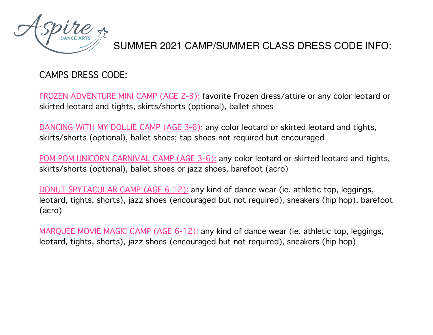

## SUMMER 2021 CAMP/SUMMER CLASS DRESS CODE INFO:

# CAMPS DRESS CODE:

FROZEN ADVENTURE MINI CAMP (AGE 2-3): favorite Frozen dress/attire or any color leotard or skirted leotard and tights, skirts/shorts (optional), ballet shoes

DANCING WITH MY DOLLIE CAMP (AGE 3-6): any color leotard or skirted leotard and tights, skirts/shorts (optional), ballet shoes; tap shoes not required but encouraged

POM POM UNICORN CARNIVAL CAMP (AGE 3-6): any color leotard or skirted leotard and tights, skirts/shorts (optional), ballet shoes or jazz shoes, barefoot (acro)

DONUT SPYTACULAR CAMP (AGE 6-12): any kind of dance wear (ie. athletic top, leggings, leotard, tights, shorts), jazz shoes (encouraged but not required), sneakers (hip hop), barefoot (acro)

MARQUEE MOVIE MAGIC CAMP (AGE 6-12): any kind of dance wear (ie. athletic top, leggings, leotard, tights, shorts), jazz shoes (encouraged but not required), sneakers (hip hop)